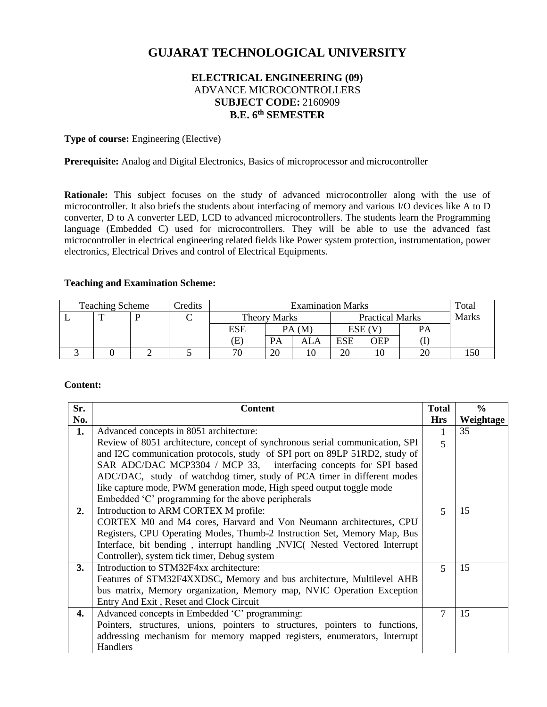# **GUJARAT TECHNOLOGICAL UNIVERSITY**

# **ELECTRICAL ENGINEERING (09)** ADVANCE MICROCONTROLLERS **SUBJECT CODE:** 2160909 **B.E. 6 th SEMESTER**

**Type of course:** Engineering (Elective)

Prerequisite: Analog and Digital Electronics, Basics of microprocessor and microcontroller

Rationale: This subject focuses on the study of advanced microcontroller along with the use of microcontroller. It also briefs the students about interfacing of memory and various I/O devices like A to D converter, D to A converter LED, LCD to advanced microcontrollers. The students learn the Programming language (Embedded C) used for microcontrollers. They will be able to use the advanced fast microcontroller in electrical engineering related fields like Power system protection, instrumentation, power electronics, Electrical Drives and control of Electrical Equipments.

#### **Teaching and Examination Scheme:**

| <b>Teaching Scheme</b> |   | Credits | <b>Examination Marks</b> |                     |           |       | Total                  |        |       |  |
|------------------------|---|---------|--------------------------|---------------------|-----------|-------|------------------------|--------|-------|--|
|                        | ᡣ |         |                          | <b>Theory Marks</b> |           |       | <b>Practical Marks</b> |        | Marks |  |
|                        |   |         |                          | ESE                 |           | PA(M) |                        | ESE (V | PA    |  |
|                        |   |         |                          | Έ)                  | <b>PA</b> | ALA   | <b>ESE</b>             | OEP    |       |  |
|                        |   |         |                          | 71                  | 20        | 10    | 20                     |        |       |  |

### **Content:**

| Sr. | <b>Content</b>                                                                | <b>Total</b>   | $\frac{6}{9}$ |
|-----|-------------------------------------------------------------------------------|----------------|---------------|
| No. |                                                                               | <b>Hrs</b>     | Weightage     |
| 1.  | Advanced concepts in 8051 architecture:                                       | 1              | 35            |
|     | Review of 8051 architecture, concept of synchronous serial communication, SPI | 5              |               |
|     | and I2C communication protocols, study of SPI port on 89LP 51RD2, study of    |                |               |
|     | SAR ADC/DAC MCP3304 / MCP 33, interfacing concepts for SPI based              |                |               |
|     | ADC/DAC, study of watchdog timer, study of PCA timer in different modes       |                |               |
|     | like capture mode, PWM generation mode, High speed output toggle mode         |                |               |
|     | Embedded 'C' programming for the above peripherals                            |                |               |
| 2.  | Introduction to ARM CORTEX M profile:                                         | $\overline{5}$ | 15            |
|     | CORTEX M0 and M4 cores, Harvard and Von Neumann architectures, CPU            |                |               |
|     | Registers, CPU Operating Modes, Thumb-2 Instruction Set, Memory Map, Bus      |                |               |
|     | Interface, bit bending, interrupt handling, NVIC( Nested Vectored Interrupt   |                |               |
|     | Controller), system tick timer, Debug system                                  |                |               |
| 3.  | Introduction to STM32F4xx architecture:                                       | $\mathcal{F}$  | 15            |
|     | Features of STM32F4XXDSC, Memory and bus architecture, Multilevel AHB         |                |               |
|     | bus matrix, Memory organization, Memory map, NVIC Operation Exception         |                |               |
|     | Entry And Exit, Reset and Clock Circuit                                       |                |               |
| 4.  | Advanced concepts in Embedded 'C' programming:                                | 7              | 15            |
|     | Pointers, structures, unions, pointers to structures, pointers to functions,  |                |               |
|     | addressing mechanism for memory mapped registers, enumerators, Interrupt      |                |               |
|     | Handlers                                                                      |                |               |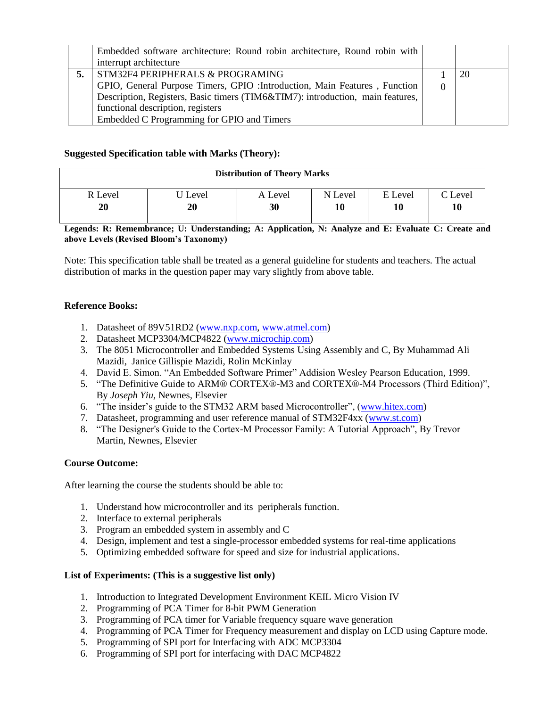| Embedded software architecture: Round robin architecture, Round robin with<br>interrupt architecture                                                                                                                                                                                |          |    |
|-------------------------------------------------------------------------------------------------------------------------------------------------------------------------------------------------------------------------------------------------------------------------------------|----------|----|
| STM32F4 PERIPHERALS & PROGRAMING<br>GPIO, General Purpose Timers, GPIO : Introduction, Main Features, Function<br>Description, Registers, Basic timers (TIM6&TIM7): introduction, main features,<br>functional description, registers<br>Embedded C Programming for GPIO and Timers | $\Omega$ | 20 |

# **Suggested Specification table with Marks (Theory):**

| <b>Distribution of Theory Marks</b> |       |         |         |         |                     |  |  |
|-------------------------------------|-------|---------|---------|---------|---------------------|--|--|
| R Level                             | Level | A Level | N Level | E Level | $\mathcal{C}$ Level |  |  |
| 20                                  | 20    | 30      |         | 10      | 10                  |  |  |

# **Legends: R: Remembrance; U: Understanding; A: Application, N: Analyze and E: Evaluate C: Create and above Levels (Revised Bloom's Taxonomy)**

Note: This specification table shall be treated as a general guideline for students and teachers. The actual distribution of marks in the question paper may vary slightly from above table.

# **Reference Books:**

- 1. Datasheet of 89V51RD2 [\(www.nxp.com,](http://www.nxp.com/) [www.atmel.com\)](http://www.atmel.com/)
- 2. Datasheet MCP3304/MCP4822 [\(www.microchip.com\)](http://www.microchip.com/)
- 3. The 8051 Microcontroller and Embedded Systems Using Assembly and C, By Muhammad Ali Mazidi, Janice Gillispie Mazidi, Rolin McKinlay
- 4. David E. Simon. "An Embedded Software Primer" Addision Wesley Pearson Education, 1999.
- 5. "The Definitive Guide to ARM® CORTEX®-M3 and CORTEX®-M4 Processors (Third Edition)", By *Joseph Yiu,* Newnes, Elsevier
- 6. "The insider's guide to the STM32 ARM based Microcontroller", [\(www.hitex.com\)](http://www.hitex.com/)
- 7. Datasheet, programming and user reference manual of STM32F4xx [\(www.st.com\)](http://www.st.com/)
- 8. "The Designer's Guide to the Cortex-M Processor Family: A Tutorial Approach", By Trevor Martin, Newnes, Elsevier

# **Course Outcome:**

After learning the course the students should be able to:

- 1. Understand how microcontroller and its peripherals function.
- 2. Interface to external peripherals
- 3. Program an embedded system in assembly and C
- 4. Design, implement and test a single-processor embedded systems for real-time applications
- 5. Optimizing embedded software for speed and size for industrial applications.

# **List of Experiments: (This is a suggestive list only)**

- 1. Introduction to Integrated Development Environment KEIL Micro Vision IV
- 2. Programming of PCA Timer for 8-bit PWM Generation
- 3. Programming of PCA timer for Variable frequency square wave generation
- 4. Programming of PCA Timer for Frequency measurement and display on LCD using Capture mode.
- 5. Programming of SPI port for Interfacing with ADC MCP3304
- 6. Programming of SPI port for interfacing with DAC MCP4822